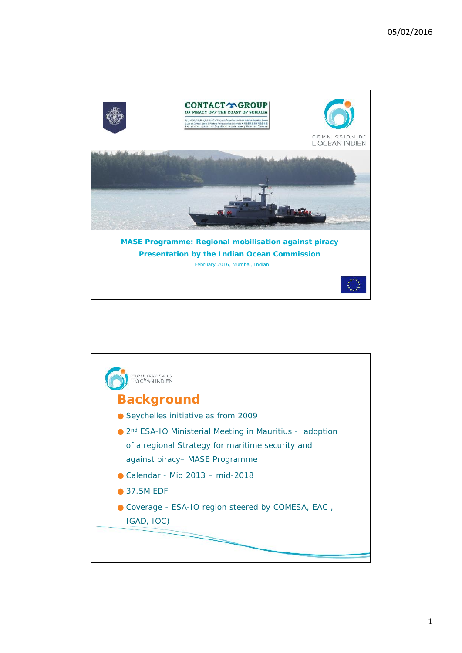

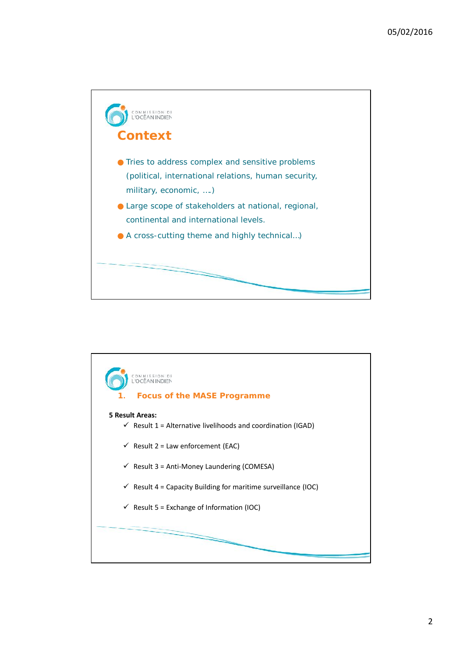

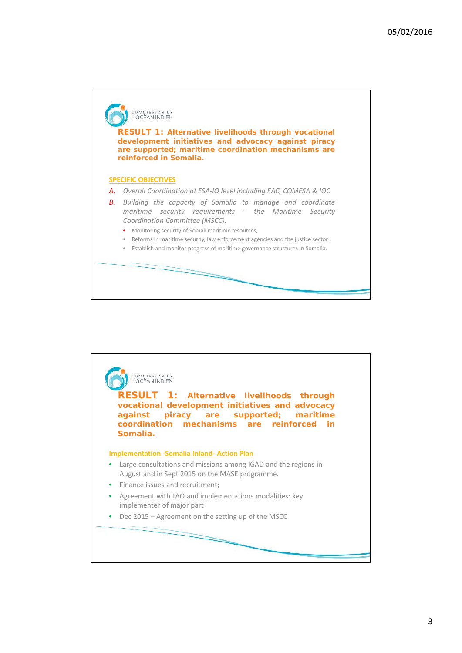

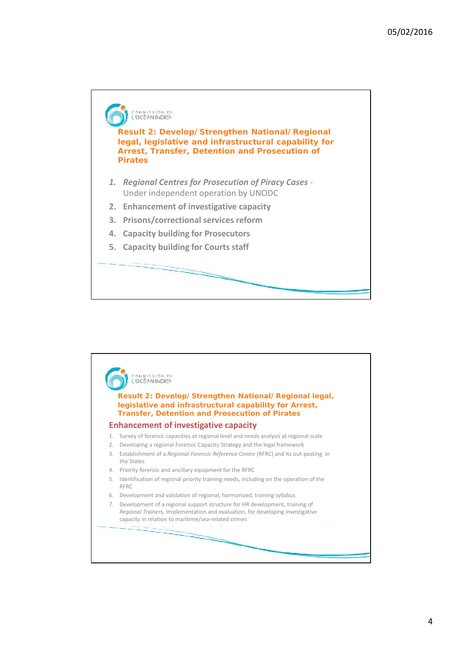

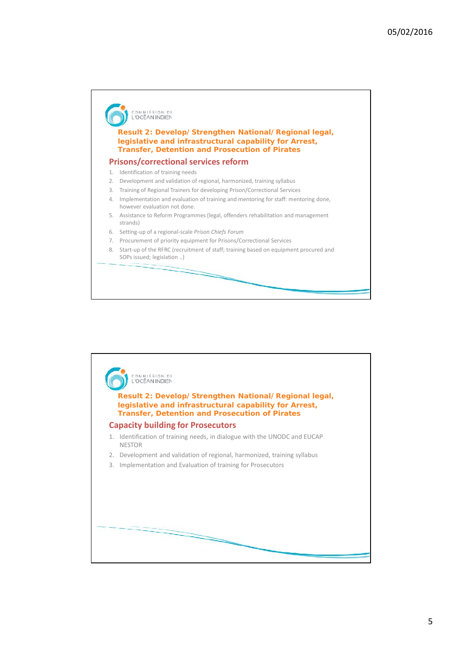## COMMISSION DE **Result 2: Develop/Strengthen National/Regional legal, legislative and infrastructural capability for Arrest, Transfer, Detention and Prosecution of Pirates Prisons/correctional services reform** 1. Identification of training needs 2. Development and validation of regional, harmonized, training syllabus 3. Training of Regional Trainers for developing Prison/Correctional Services 4. Implementation and evaluation of training and mentoring for staff: mentoring done, however evaluation not done. 5. Assistance to Reform Programmes (legal, offenders rehabilitation and management strands) 6. Setting-up of a regional-scale *Prison Chiefs Forum* 7. Procurement of priority equipment for Prisons/Correctional Services 8. Start-up of the RFRC (recruitment of staff; training based on equipment procured and SOPs issued; legislation ..)

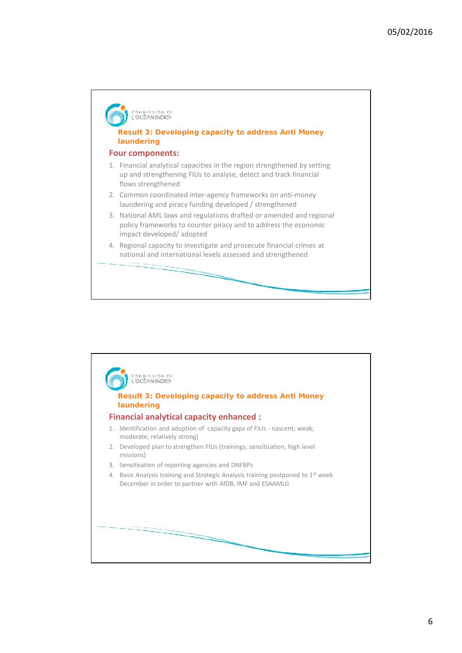



6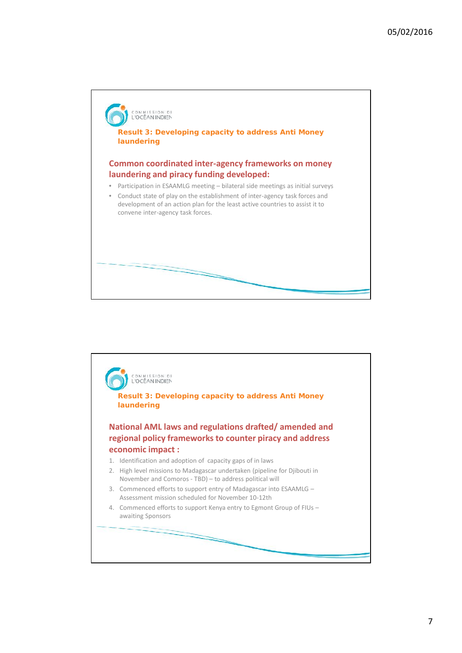

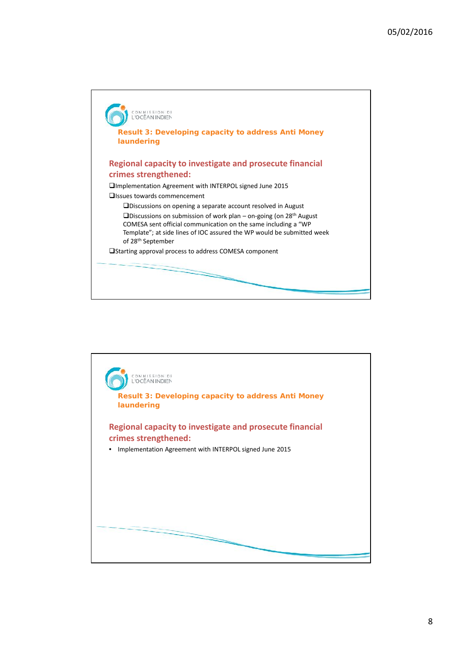

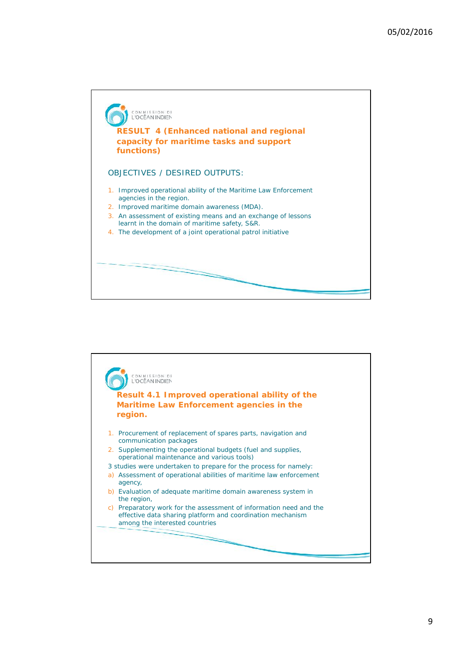

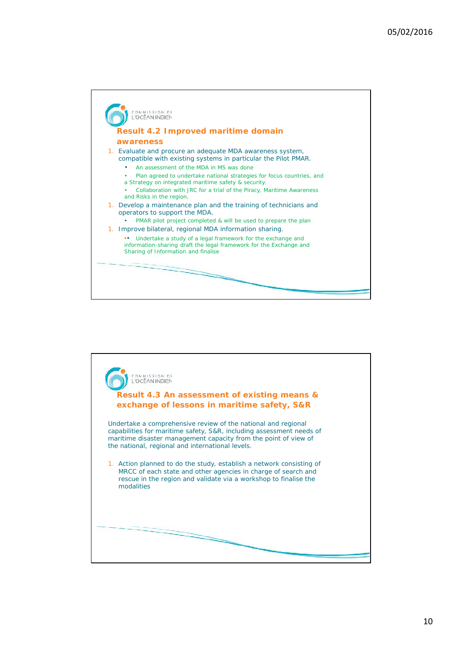

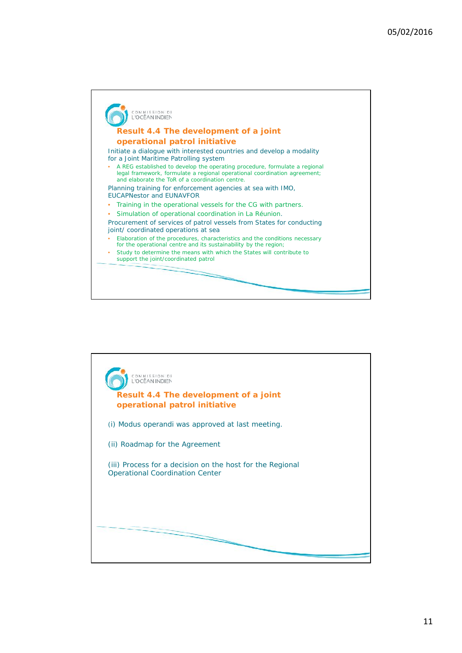

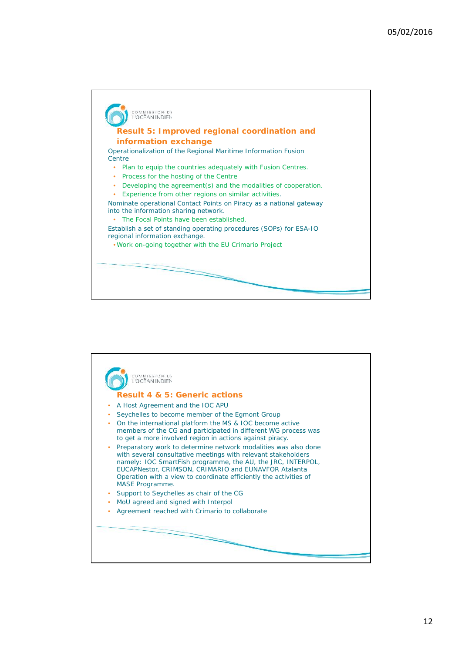